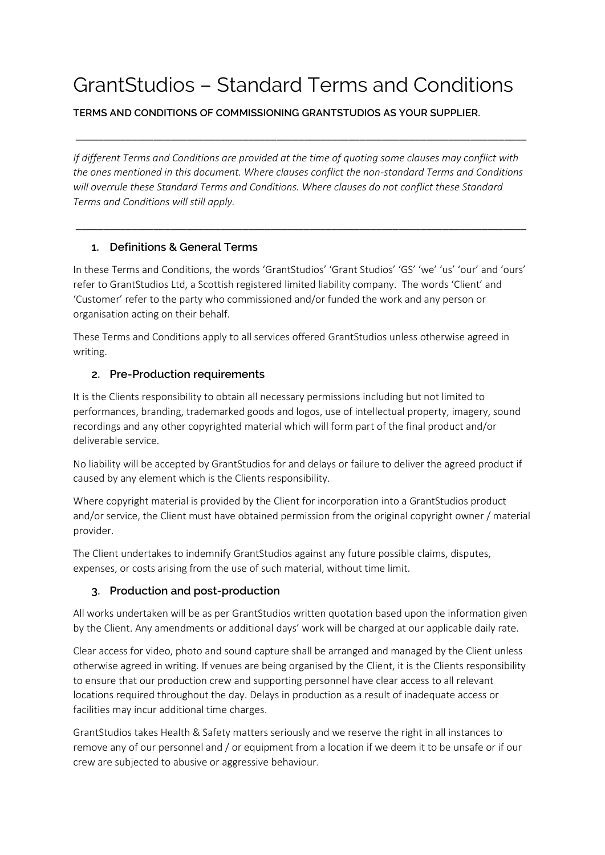# GrantStudios – Standard Terms and Conditions

**TERMS AND CONDITIONS OF COMMISSIONING GRANTSTUDIOS AS YOUR SUPPLIER.** 

*If different Terms and Conditions are provided at the time of quoting some clauses may conflict with the ones mentioned in this document. Where clauses conflict the non-standard Terms and Conditions will overrule these Standard Terms and Conditions. Where clauses do not conflict these Standard Terms and Conditions will still apply.* 

\_\_\_\_\_\_\_\_\_\_\_\_\_\_\_\_\_\_\_\_\_\_\_\_\_\_\_\_\_\_\_\_\_\_\_\_\_\_\_\_\_\_\_\_\_\_\_\_\_\_\_\_\_\_\_\_\_\_\_\_\_\_\_\_\_\_\_\_\_\_\_\_\_\_\_\_\_\_\_\_\_

\_\_\_\_\_\_\_\_\_\_\_\_\_\_\_\_\_\_\_\_\_\_\_\_\_\_\_\_\_\_\_\_\_\_\_\_\_\_\_\_\_\_\_\_\_\_\_\_\_\_\_\_\_\_\_\_\_\_\_\_\_\_\_\_\_\_\_\_\_\_\_\_\_\_\_\_\_\_\_\_\_

#### **1. Definitions & General Terms**

In these Terms and Conditions, the words 'GrantStudios' 'Grant Studios' 'GS' 'we' 'us' 'our' and 'ours' refer to GrantStudios Ltd, a Scottish registered limited liability company. The words 'Client' and 'Customer' refer to the party who commissioned and/or funded the work and any person or organisation acting on their behalf.

These Terms and Conditions apply to all services offered GrantStudios unless otherwise agreed in writing.

#### **2. Pre-Production requirements**

It is the Clients responsibility to obtain all necessary permissions including but not limited to performances, branding, trademarked goods and logos, use of intellectual property, imagery, sound recordings and any other copyrighted material which will form part of the final product and/or deliverable service.

No liability will be accepted by GrantStudios for and delays or failure to deliver the agreed product if caused by any element which is the Clients responsibility.

Where copyright material is provided by the Client for incorporation into a GrantStudios product and/or service, the Client must have obtained permission from the original copyright owner / material provider.

The Client undertakes to indemnify GrantStudios against any future possible claims, disputes, expenses, or costs arising from the use of such material, without time limit.

#### **3. Production and post-production**

All works undertaken will be as per GrantStudios written quotation based upon the information given by the Client. Any amendments or additional days' work will be charged at our applicable daily rate.

Clear access for video, photo and sound capture shall be arranged and managed by the Client unless otherwise agreed in writing. If venues are being organised by the Client, it is the Clients responsibility to ensure that our production crew and supporting personnel have clear access to all relevant locations required throughout the day. Delays in production as a result of inadequate access or facilities may incur additional time charges.

GrantStudios takes Health & Safety matters seriously and we reserve the right in all instances to remove any of our personnel and / or equipment from a location if we deem it to be unsafe or if our crew are subjected to abusive or aggressive behaviour.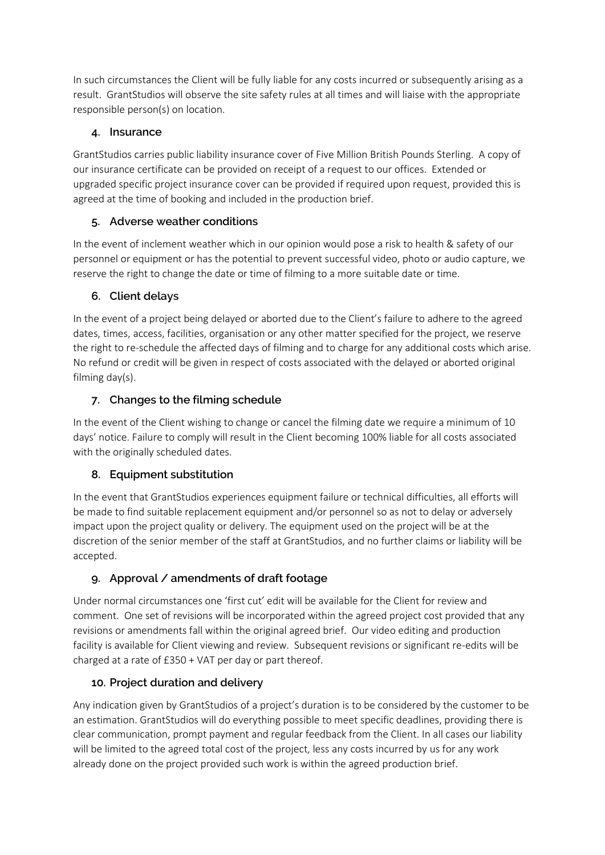In such circumstances the Client will be fully liable for any costs incurred or subsequently arising as a result. GrantStudios will observe the site safety rules at all times and will liaise with the appropriate responsible person(s) on location.

#### **4. Insurance**

GrantStudios carries public liability insurance cover of Five Million British Pounds Sterling. A copy of our insurance certificate can be provided on receipt of a request to our offices. Extended or upgraded specific project insurance cover can be provided if required upon request, provided this is agreed at the time of booking and included in the production brief.

## **5. Adverse weather conditions**

In the event of inclement weather which in our opinion would pose a risk to health & safety of our personnel or equipment or has the potential to prevent successful video, photo or audio capture, we reserve the right to change the date or time of filming to a more suitable date or time.

## **6. Client delays**

In the event of a project being delayed or aborted due to the Client's failure to adhere to the agreed dates, times, access, facilities, organisation or any other matter specified for the project, we reserve the right to re-schedule the affected days of filming and to charge for any additional costs which arise. No refund or credit will be given in respect of costs associated with the delayed or aborted original filming day(s).

## **7. Changes to the filming schedule**

In the event of the Client wishing to change or cancel the filming date we require a minimum of 10 days' notice. Failure to comply will result in the Client becoming 100% liable for all costs associated with the originally scheduled dates.

# **8. Equipment substitution**

In the event that GrantStudios experiences equipment failure or technical difficulties, all efforts will be made to find suitable replacement equipment and/or personnel so as not to delay or adversely impact upon the project quality or delivery. The equipment used on the project will be at the discretion of the senior member of the staff at GrantStudios, and no further claims or liability will be accepted.

# **9. Approval / amendments of draft footage**

Under normal circumstances one 'first cut' edit will be available for the Client for review and comment. One set of revisions will be incorporated within the agreed project cost provided that any revisions or amendments fall within the original agreed brief. Our video editing and production facility is available for Client viewing and review. Subsequent revisions or significant re-edits will be charged at a rate of £350 + VAT per day or part thereof.

# **10. Project duration and delivery**

Any indication given by GrantStudios of a project's duration is to be considered by the customer to be an estimation. GrantStudios will do everything possible to meet specific deadlines, providing there is clear communication, prompt payment and regular feedback from the Client. In all cases our liability will be limited to the agreed total cost of the project, less any costs incurred by us for any work already done on the project provided such work is within the agreed production brief.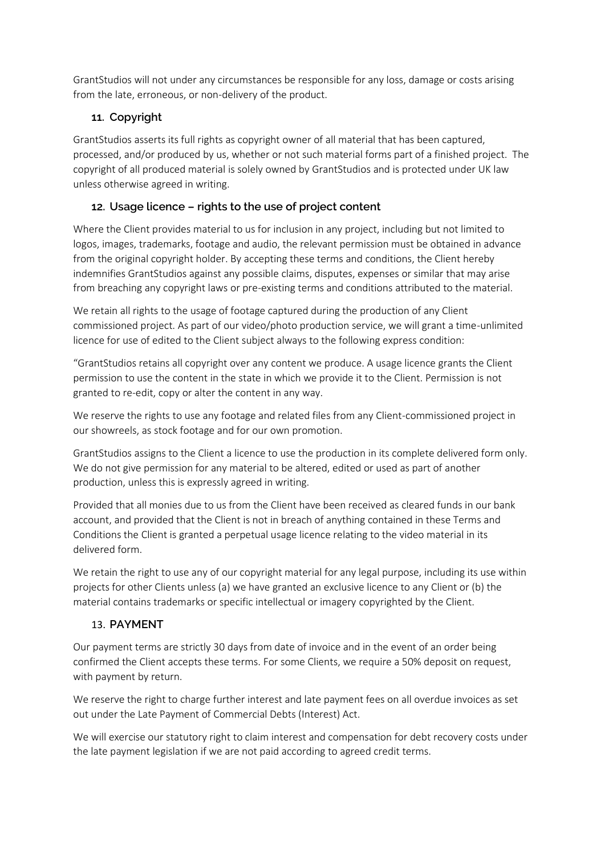GrantStudios will not under any circumstances be responsible for any loss, damage or costs arising from the late, erroneous, or non-delivery of the product.

### **11. Copyright**

GrantStudios asserts its full rights as copyright owner of all material that has been captured, processed, and/or produced by us, whether or not such material forms part of a finished project. The copyright of all produced material is solely owned by GrantStudios and is protected under UK law unless otherwise agreed in writing.

#### **12. Usage licence – rights to the use of project content**

Where the Client provides material to us for inclusion in any project, including but not limited to logos, images, trademarks, footage and audio, the relevant permission must be obtained in advance from the original copyright holder. By accepting these terms and conditions, the Client hereby indemnifies GrantStudios against any possible claims, disputes, expenses or similar that may arise from breaching any copyright laws or pre-existing terms and conditions attributed to the material.

We retain all rights to the usage of footage captured during the production of any Client commissioned project. As part of our video/photo production service, we will grant a time-unlimited licence for use of edited to the Client subject always to the following express condition:

"GrantStudios retains all copyright over any content we produce. A usage licence grants the Client permission to use the content in the state in which we provide it to the Client. Permission is not granted to re-edit, copy or alter the content in any way.

We reserve the rights to use any footage and related files from any Client-commissioned project in our showreels, as stock footage and for our own promotion.

GrantStudios assigns to the Client a licence to use the production in its complete delivered form only. We do not give permission for any material to be altered, edited or used as part of another production, unless this is expressly agreed in writing.

Provided that all monies due to us from the Client have been received as cleared funds in our bank account, and provided that the Client is not in breach of anything contained in these Terms and Conditions the Client is granted a perpetual usage licence relating to the video material in its delivered form.

We retain the right to use any of our copyright material for any legal purpose, including its use within projects for other Clients unless (a) we have granted an exclusive licence to any Client or (b) the material contains trademarks or specific intellectual or imagery copyrighted by the Client.

#### 13. **PAYMENT**

Our payment terms are strictly 30 days from date of invoice and in the event of an order being confirmed the Client accepts these terms. For some Clients, we require a 50% deposit on request, with payment by return.

We reserve the right to charge further interest and late payment fees on all overdue invoices as set out under the Late Payment of Commercial Debts (Interest) Act.

We will exercise our statutory right to claim interest and compensation for debt recovery costs under the late payment legislation if we are not paid according to agreed credit terms.